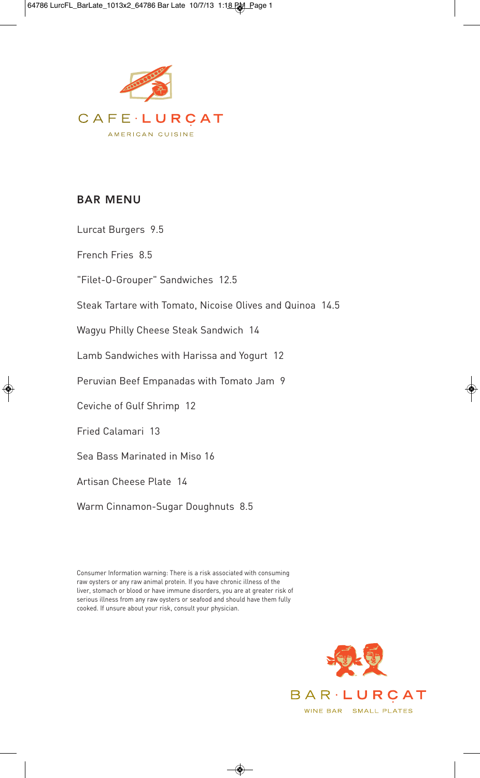

## **BAR MENU**

Lurcat Burgers 9.5

French Fries 8.5

"Filet-O-Grouper" Sandwiches 12.5

Steak Tartare with Tomato, Nicoise Olives and Quinoa 14.5

Wagyu Philly Cheese Steak Sandwich 14

Lamb Sandwiches with Harissa and Yogurt 12

Peruvian Beef Empanadas with Tomato Jam 9

Ceviche of Gulf Shrimp 12

Fried Calamari 13

Sea Bass Marinated in Miso 16

Artisan Cheese Plate 14

Warm Cinnamon-Sugar Doughnuts 8.5

Consumer Information warning: There is a risk associated with consuming raw oysters or any raw animal protein. If you have chronic illness of the liver, stomach or blood or have immune disorders, you are at greater risk of serious illness from any raw oysters or seafood and should have them fully cooked. If unsure about your risk, consult your physician.